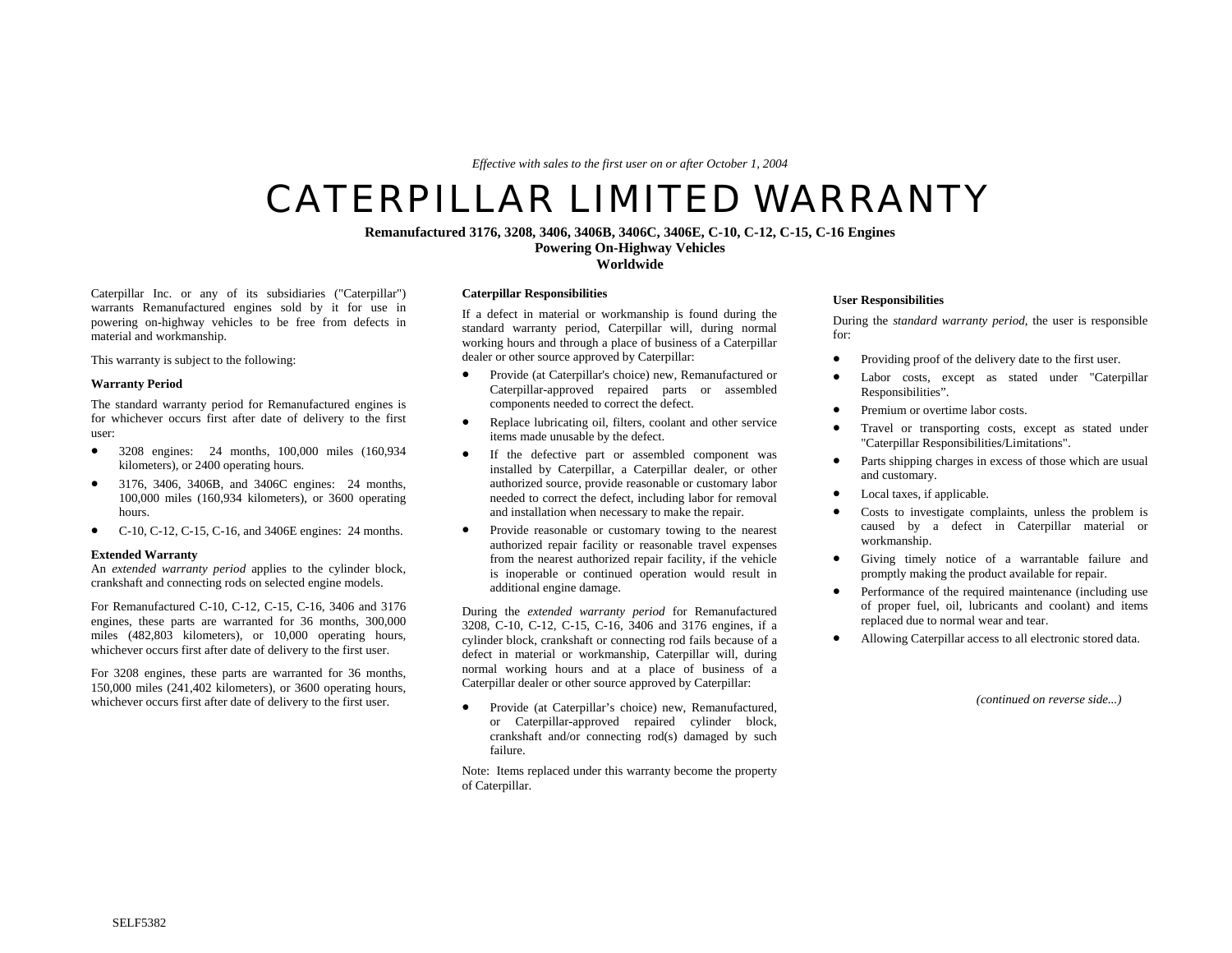*Effective with sales to the first user on or after October 1, 2004* 

# CATERPILLAR LIMITED WARRANTY

**Remanufactured 3176, 3208, 3406, 3406B, 3406C, 3406E, C-10, C-12, C-15, C-16 Engines** 

# **Powering On-Highway Vehicles Worldwide**

Caterpillar Inc. or any of its subsidiaries ("Caterpillar") warrants Remanufactured engines sold by it for use in powering on-highway vehicles to be free from defects in material and workmanship.

This warranty is subject to the following:

# **Warranty Period**

The standard warranty period for Remanufactured engines is for whichever occurs first after date of delivery to the first user:

- 3208 engines: 24 months, 100,000 miles (160,934) kilometers), or 2400 operating hours.
- 3176, 3406, 3406B, and 3406C engines: 24 months, 100,000 miles (160,934 kilometers), or 3600 operating hours.
- C-10, C-12, C-15, C-16, and 3406E engines: 24 months.

# **Extended Warranty**

An *extended warranty period* applies to the cylinder block, crankshaft and connecting rods on selected engine models.

For Remanufactured C-10, C-12, C-15, C-16, 3406 and 3176 engines, these parts are warranted for 36 months, 300,000 miles (482,803 kilometers), or 10,000 operating hours, whichever occurs first after date of delivery to the first user.

For 3208 engines, these parts are warranted for 36 months, 150,000 miles (241,402 kilometers), or 3600 operating hours, whichever occurs first after date of delivery to the first user.

# **Caterpillar Responsibilities**

If a defect in material or workmanship is found during the standard warranty period, Caterpillar will, during normal working hours and through a place of business of a Caterpillar dealer or other source approved by Caterpillar:

- Provide (at Caterpillar's choice) new, Remanufactured or Caterpillar-approved repaired parts or assembled components needed to correct the defect.
- Replace lubricating oil, filters, coolant and other service items made unusable by the defect.
- If the defective part or assembled component was installed by Caterpillar, a Caterpillar dealer, or other authorized source, provide reasonable or customary labor needed to correct the defect, including labor for removal and installation when necessary to make the repair.
- Provide reasonable or customary towing to the nearest authorized repair facility or reasonable travel expenses from the nearest authorized repair facility, if the vehicle is inoperable or continued operation would result in additional engine damage.

During the *extended warranty period* for Remanufactured 3208, C-10, C-12, C-15, C-16, 3406 and 3176 engines, if a cylinder block, crankshaft or connecting rod fails because of a defect in material or workmanship, Caterpillar will, during normal working hours and at a place of business of a Caterpillar dealer or other source approved by Caterpillar:

• Provide (at Caterpillar's choice) new, Remanufactured, or Caterpillar-approved repaired cylinder block, crankshaft and/or connecting rod(s) damaged by such failure.

Note: Items replaced under this warranty become the property of Caterpillar.

# **User Responsibilities**

During the *standard warranty period*, the user is responsible for:

- Providing proof of the delivery date to the first user.
- Labor costs, except as stated under "Caterpillar Responsibilities".
- Premium or overtime labor costs.
- Travel or transporting costs, except as stated under "Caterpillar Responsibilities/Limitations".
- Parts shipping charges in excess of those which are usual and customary.
- Local taxes, if applicable.
- Costs to investigate complaints, unless the problem is caused by a defect in Caterpillar material or workmanship.
- Giving timely notice of a warrantable failure and promptly making the product available for repair.
- Performance of the required maintenance (including use of proper fuel, oil, lubricants and coolant) and items replaced due to normal wear and tear.
- Allowing Caterpillar access to all electronic stored data.

*(continued on reverse side...)*